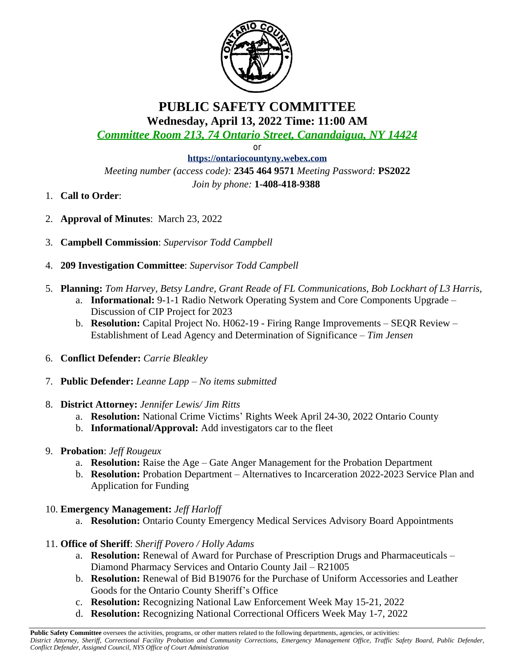

# **PUBLIC SAFETY COMMITTEE Wednesday, April 13, 2022 Time: 11:00 AM**

*Committee Room 213, 74 Ontario Street, Canandaigua, NY 14424*

or

**<https://ontariocountyny.webex.com>** *Meeting number (access code):* **2345 464 9571** *Meeting Password:* **PS2022** *Join by phone:* **1-408-418-9388** 

- 1. **Call to Order**:
- 2. **Approval of Minutes**: March 23, 2022
- 3. **Campbell Commission**: *Supervisor Todd Campbell*
- 4. **209 Investigation Committee**: *Supervisor Todd Campbell*
- 5. **Planning:** *Tom Harvey, Betsy Landre, Grant Reade of FL Communications, Bob Lockhart of L3 Harris,*
	- a. **Informational:** 9-1-1 Radio Network Operating System and Core Components Upgrade Discussion of CIP Project for 2023
	- b. **Resolution:** Capital Project No. H062-19 Firing Range Improvements SEQR Review Establishment of Lead Agency and Determination of Significance – *Tim Jensen*
- 6. **Conflict Defender:** *Carrie Bleakley*
- 7. **Public Defender:** *Leanne Lapp – No items submitted*
- 8. **District Attorney:** *Jennifer Lewis/ Jim Ritts*
	- a. **Resolution:** National Crime Victims' Rights Week April 24-30, 2022 Ontario County
	- b. **Informational/Approval:** Add investigators car to the fleet
- 9. **Probation**: *Jeff Rougeux*
	- a. **Resolution:** Raise the Age Gate Anger Management for the Probation Department
	- b. **Resolution:** Probation Department Alternatives to Incarceration 2022-2023 Service Plan and Application for Funding
- 10. **Emergency Management:** *Jeff Harloff*
	- a. **Resolution:** Ontario County Emergency Medical Services Advisory Board Appointments
- 11. **Office of Sheriff**: *Sheriff Povero / Holly Adams*
	- a. **Resolution:** Renewal of Award for Purchase of Prescription Drugs and Pharmaceuticals Diamond Pharmacy Services and Ontario County Jail – R21005
	- b. **Resolution:** Renewal of Bid B19076 for the Purchase of Uniform Accessories and Leather Goods for the Ontario County Sheriff's Office
	- c. **Resolution:** Recognizing National Law Enforcement Week May 15-21, 2022
	- d. **Resolution:** Recognizing National Correctional Officers Week May 1-7, 2022